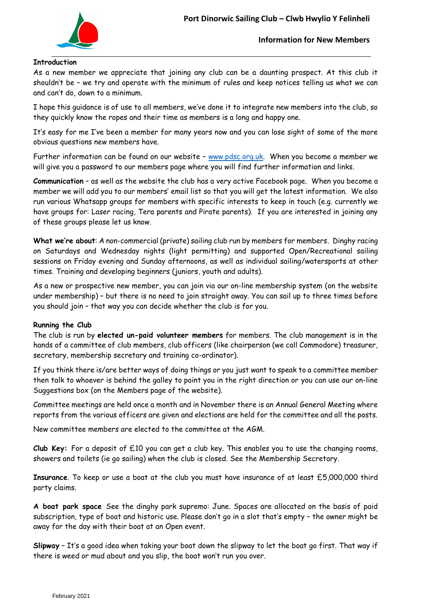

**Introduction**

## **Information for New Members**

As a new member we appreciate that joining any club can be a daunting prospect. At this club it shouldn't be – we try and operate with the minimum of rules and keep notices telling us what we can and can't do, down to a minimum.

I hope this guidance is of use to all members, we've done it to integrate new members into the club, so they quickly know the ropes and their time as members is a long and happy one.

It's easy for me I've been a member for many years now and you can lose sight of some of the more obvious questions new members have.

Further information can be found on our website – [www.pdsc.org.uk.](http://www.pdsc.org.uk/) When you become a member we will give you a password to our members page where you will find further information and links.

**Communication** – as well as the website the club has a very active Facebook page. When you become a member we will add you to our members' email list so that you will get the latest information. We also run various Whatsapp groups for members with specific interests to keep in touch (e.g. currently we have groups for: Laser racing, Tera parents and Pirate parents). If you are interested in joining any of these groups please let us know.

**What we're about**: A non-commercial (private) sailing club run by members for members. Dinghy racing on Saturdays and Wednesday nights (light permitting) and supported Open/Recreational sailing sessions on Friday evening and Sunday afternoons, as well as individual sailing/watersports at other times. Training and developing beginners (juniors, youth and adults).

As a new or prospective new member, you can join via our on-line membership system (on the website under membership) – but there is no need to join straight away. You can sail up to three times before you should join – that way you can decide whether the club is for you.

### **Running the Club**

The club is run by **elected un-paid volunteer members** for members. The club management is in the hands of a committee of club members, club officers (like chairperson (we call Commodore) treasurer, secretary, membership secretary and training co-ordinator).

If you think there is/are better ways of doing things or you just want to speak to a committee member then talk to whoever is behind the galley to point you in the right direction or you can use our on-line Suggestions box (on the Members page of the website).

Committee meetings are held once a month and in November there is an Annual General Meeting where reports from the various officers are given and elections are held for the committee and all the posts.

New committee members are elected to the committee at the AGM.

**Club Key:** For a deposit of £10 you can get a club key. This enables you to use the changing rooms, showers and toilets (ie go sailing) when the club is closed. See the Membership Secretary.

**Insurance**. To keep or use a boat at the club you must have insurance of at least £5,000,000 third party claims.

**A boat park space** See the dinghy park supremo: June. Spaces are allocated on the basis of paid subscription, type of boat and historic use. Please don't go in a slot that's empty – the owner might be away for the day with their boat at an Open event.

**Slipway** – It's a good idea when taking your boat down the slipway to let the boat go first. That way if there is weed or mud about and you slip, the boat won't run you over.